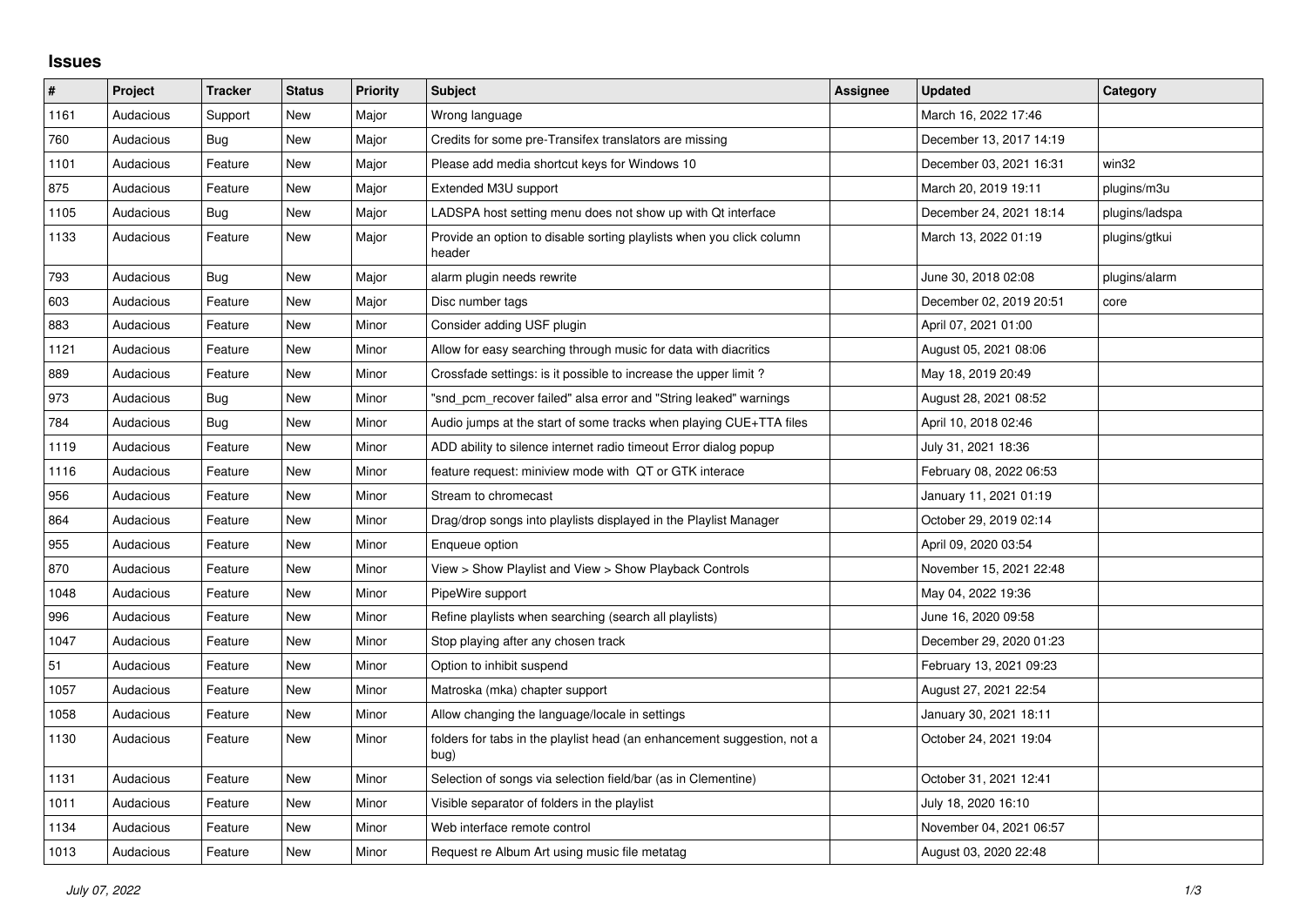## **Issues**

| $\vert$ # | Project   | <b>Tracker</b> | <b>Status</b> | <b>Priority</b> | <b>Subject</b>                                                                  | <b>Assignee</b> | <b>Updated</b>          | Category       |
|-----------|-----------|----------------|---------------|-----------------|---------------------------------------------------------------------------------|-----------------|-------------------------|----------------|
| 1161      | Audacious | Support        | New           | Major           | Wrong language                                                                  |                 | March 16, 2022 17:46    |                |
| 760       | Audacious | Bug            | <b>New</b>    | Major           | Credits for some pre-Transifex translators are missing                          |                 | December 13, 2017 14:19 |                |
| 1101      | Audacious | Feature        | <b>New</b>    | Major           | Please add media shortcut keys for Windows 10                                   |                 | December 03, 2021 16:31 | win32          |
| 875       | Audacious | Feature        | <b>New</b>    | Major           | Extended M3U support                                                            |                 | March 20, 2019 19:11    | plugins/m3u    |
| 1105      | Audacious | <b>Bug</b>     | <b>New</b>    | Major           | LADSPA host setting menu does not show up with Qt interface                     |                 | December 24, 2021 18:14 | plugins/ladspa |
| 1133      | Audacious | Feature        | <b>New</b>    | Major           | Provide an option to disable sorting playlists when you click column<br>header  |                 | March 13, 2022 01:19    | plugins/gtkui  |
| 793       | Audacious | <b>Bug</b>     | <b>New</b>    | Major           | alarm plugin needs rewrite                                                      |                 | June 30, 2018 02:08     | plugins/alarm  |
| 603       | Audacious | Feature        | <b>New</b>    | Major           | Disc number tags                                                                |                 | December 02, 2019 20:51 | core           |
| 883       | Audacious | Feature        | <b>New</b>    | Minor           | Consider adding USF plugin                                                      |                 | April 07, 2021 01:00    |                |
| 1121      | Audacious | Feature        | <b>New</b>    | Minor           | Allow for easy searching through music for data with diacritics                 |                 | August 05, 2021 08:06   |                |
| 889       | Audacious | Feature        | New           | Minor           | Crossfade settings: is it possible to increase the upper limit?                 |                 | May 18, 2019 20:49      |                |
| 973       | Audacious | <b>Bug</b>     | New           | Minor           | "snd_pcm_recover failed" alsa error and "String leaked" warnings                |                 | August 28, 2021 08:52   |                |
| 784       | Audacious | <b>Bug</b>     | <b>New</b>    | Minor           | Audio jumps at the start of some tracks when playing CUE+TTA files              |                 | April 10, 2018 02:46    |                |
| 1119      | Audacious | Feature        | <b>New</b>    | Minor           | ADD ability to silence internet radio timeout Error dialog popup                |                 | July 31, 2021 18:36     |                |
| 1116      | Audacious | Feature        | <b>New</b>    | Minor           | feature request: miniview mode with QT or GTK interace                          |                 | February 08, 2022 06:53 |                |
| 956       | Audacious | Feature        | <b>New</b>    | Minor           | Stream to chromecast                                                            |                 | January 11, 2021 01:19  |                |
| 864       | Audacious | Feature        | New           | Minor           | Drag/drop songs into playlists displayed in the Playlist Manager                |                 | October 29, 2019 02:14  |                |
| 955       | Audacious | Feature        | <b>New</b>    | Minor           | Enqueue option                                                                  |                 | April 09, 2020 03:54    |                |
| 870       | Audacious | Feature        | <b>New</b>    | Minor           | View > Show Playlist and View > Show Playback Controls                          |                 | November 15, 2021 22:48 |                |
| 1048      | Audacious | Feature        | New           | Minor           | PipeWire support                                                                |                 | May 04, 2022 19:36      |                |
| 996       | Audacious | Feature        | <b>New</b>    | Minor           | Refine playlists when searching (search all playlists)                          |                 | June 16, 2020 09:58     |                |
| 1047      | Audacious | Feature        | New           | Minor           | Stop playing after any chosen track                                             |                 | December 29, 2020 01:23 |                |
| 51        | Audacious | Feature        | New           | Minor           | Option to inhibit suspend                                                       |                 | February 13, 2021 09:23 |                |
| 1057      | Audacious | Feature        | <b>New</b>    | Minor           | Matroska (mka) chapter support                                                  |                 | August 27, 2021 22:54   |                |
| 1058      | Audacious | Feature        | <b>New</b>    | Minor           | Allow changing the language/locale in settings                                  |                 | January 30, 2021 18:11  |                |
| 1130      | Audacious | Feature        | New           | Minor           | folders for tabs in the playlist head (an enhancement suggestion, not a<br>bug) |                 | October 24, 2021 19:04  |                |
| 1131      | Audacious | Feature        | <b>New</b>    | Minor           | Selection of songs via selection field/bar (as in Clementine)                   |                 | October 31, 2021 12:41  |                |
| 1011      | Audacious | Feature        | <b>New</b>    | Minor           | Visible separator of folders in the playlist                                    |                 | July 18, 2020 16:10     |                |
| 1134      | Audacious | Feature        | <b>New</b>    | Minor           | Web interface remote control                                                    |                 | November 04, 2021 06:57 |                |
| 1013      | Audacious | Feature        | New           | Minor           | Request re Album Art using music file metatag                                   |                 | August 03, 2020 22:48   |                |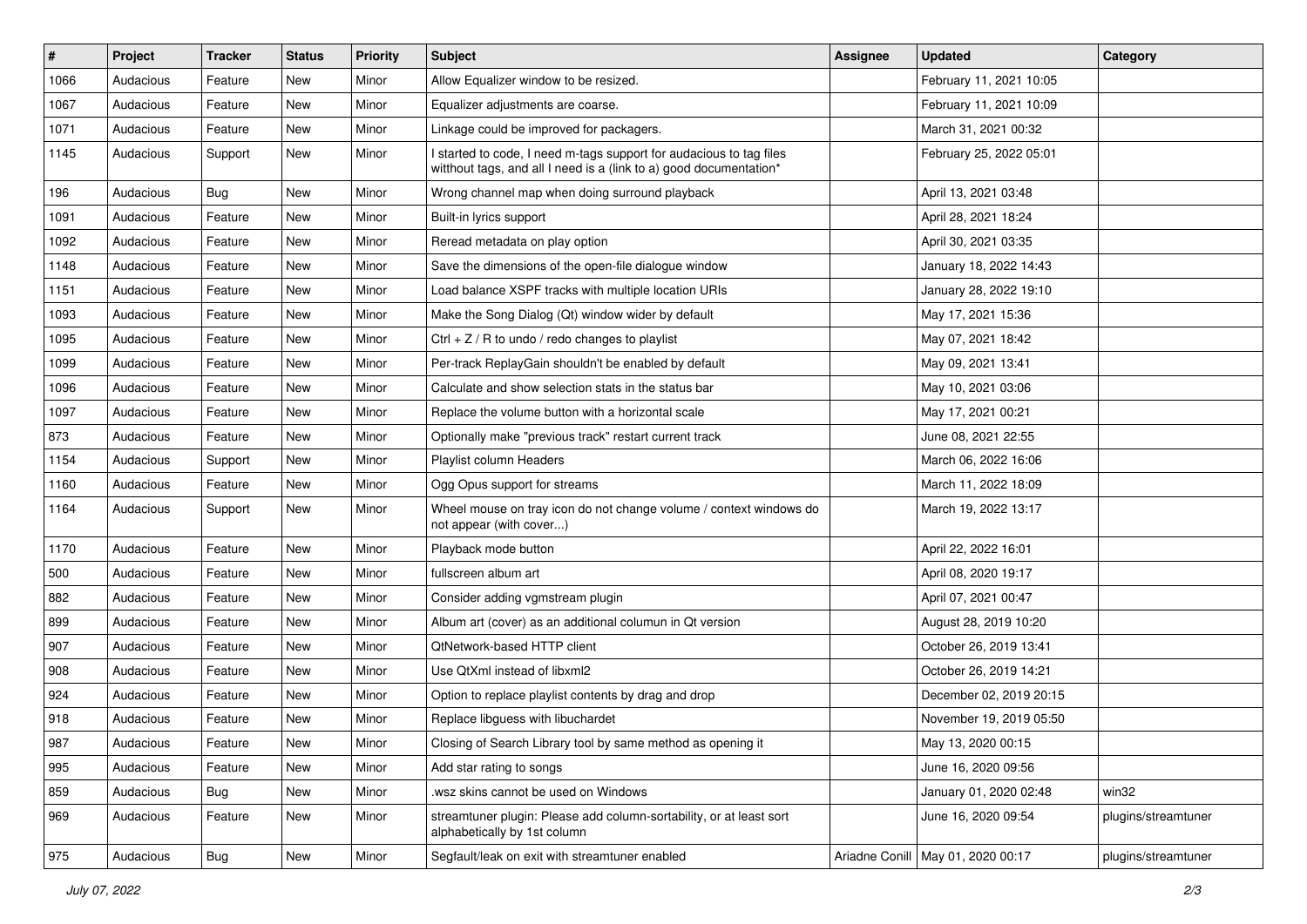| #    | Project   | <b>Tracker</b> | <b>Status</b> | <b>Priority</b> | Subject                                                                                                                                   | <b>Assignee</b> | <b>Updated</b>                      | Category            |
|------|-----------|----------------|---------------|-----------------|-------------------------------------------------------------------------------------------------------------------------------------------|-----------------|-------------------------------------|---------------------|
| 1066 | Audacious | Feature        | New           | Minor           | Allow Equalizer window to be resized.                                                                                                     |                 | February 11, 2021 10:05             |                     |
| 1067 | Audacious | Feature        | New           | Minor           | Equalizer adjustments are coarse.                                                                                                         |                 | February 11, 2021 10:09             |                     |
| 1071 | Audacious | Feature        | New           | Minor           | Linkage could be improved for packagers.                                                                                                  |                 | March 31, 2021 00:32                |                     |
| 1145 | Audacious | Support        | New           | Minor           | I started to code, I need m-tags support for audacious to tag files<br>witthout tags, and all I need is a (link to a) good documentation* |                 | February 25, 2022 05:01             |                     |
| 196  | Audacious | Bug            | New           | Minor           | Wrong channel map when doing surround playback                                                                                            |                 | April 13, 2021 03:48                |                     |
| 1091 | Audacious | Feature        | New           | Minor           | Built-in lyrics support                                                                                                                   |                 | April 28, 2021 18:24                |                     |
| 1092 | Audacious | Feature        | New           | Minor           | Reread metadata on play option                                                                                                            |                 | April 30, 2021 03:35                |                     |
| 1148 | Audacious | Feature        | New           | Minor           | Save the dimensions of the open-file dialogue window                                                                                      |                 | January 18, 2022 14:43              |                     |
| 1151 | Audacious | Feature        | New           | Minor           | Load balance XSPF tracks with multiple location URIs                                                                                      |                 | January 28, 2022 19:10              |                     |
| 1093 | Audacious | Feature        | New           | Minor           | Make the Song Dialog (Qt) window wider by default                                                                                         |                 | May 17, 2021 15:36                  |                     |
| 1095 | Audacious | Feature        | New           | Minor           | Ctrl + $Z$ / R to undo / redo changes to playlist                                                                                         |                 | May 07, 2021 18:42                  |                     |
| 1099 | Audacious | Feature        | New           | Minor           | Per-track ReplayGain shouldn't be enabled by default                                                                                      |                 | May 09, 2021 13:41                  |                     |
| 1096 | Audacious | Feature        | New           | Minor           | Calculate and show selection stats in the status bar                                                                                      |                 | May 10, 2021 03:06                  |                     |
| 1097 | Audacious | Feature        | New           | Minor           | Replace the volume button with a horizontal scale                                                                                         |                 | May 17, 2021 00:21                  |                     |
| 873  | Audacious | Feature        | New           | Minor           | Optionally make "previous track" restart current track                                                                                    |                 | June 08, 2021 22:55                 |                     |
| 1154 | Audacious | Support        | New           | Minor           | Playlist column Headers                                                                                                                   |                 | March 06, 2022 16:06                |                     |
| 1160 | Audacious | Feature        | New           | Minor           | Ogg Opus support for streams                                                                                                              |                 | March 11, 2022 18:09                |                     |
| 1164 | Audacious | Support        | New           | Minor           | Wheel mouse on tray icon do not change volume / context windows do<br>not appear (with cover)                                             |                 | March 19, 2022 13:17                |                     |
| 1170 | Audacious | Feature        | New           | Minor           | Playback mode button                                                                                                                      |                 | April 22, 2022 16:01                |                     |
| 500  | Audacious | Feature        | New           | Minor           | fullscreen album art                                                                                                                      |                 | April 08, 2020 19:17                |                     |
| 882  | Audacious | Feature        | New           | Minor           | Consider adding vgmstream plugin                                                                                                          |                 | April 07, 2021 00:47                |                     |
| 899  | Audacious | Feature        | New           | Minor           | Album art (cover) as an additional columun in Qt version                                                                                  |                 | August 28, 2019 10:20               |                     |
| 907  | Audacious | Feature        | New           | Minor           | QtNetwork-based HTTP client                                                                                                               |                 | October 26, 2019 13:41              |                     |
| 908  | Audacious | Feature        | New           | Minor           | Use QtXml instead of libxml2                                                                                                              |                 | October 26, 2019 14:21              |                     |
| 924  | Audacious | Feature        | New           | Minor           | Option to replace playlist contents by drag and drop                                                                                      |                 | December 02, 2019 20:15             |                     |
| 918  | Audacious | Feature        | New           | Minor           | Replace libguess with libuchardet                                                                                                         |                 | November 19, 2019 05:50             |                     |
| 987  | Audacious | Feature        | New           | Minor           | Closing of Search Library tool by same method as opening it                                                                               |                 | May 13, 2020 00:15                  |                     |
| 995  | Audacious | Feature        | New           | Minor           | Add star rating to songs                                                                                                                  |                 | June 16, 2020 09:56                 |                     |
| 859  | Audacious | Bug            | New           | Minor           | wsz skins cannot be used on Windows                                                                                                       |                 | January 01, 2020 02:48              | win32               |
| 969  | Audacious | Feature        | New           | Minor           | streamtuner plugin: Please add column-sortability, or at least sort<br>alphabetically by 1st column                                       |                 | June 16, 2020 09:54                 | plugins/streamtuner |
| 975  | Audacious | Bug            | New           | Minor           | Segfault/leak on exit with streamtuner enabled                                                                                            |                 | Ariadne Conill   May 01, 2020 00:17 | plugins/streamtuner |